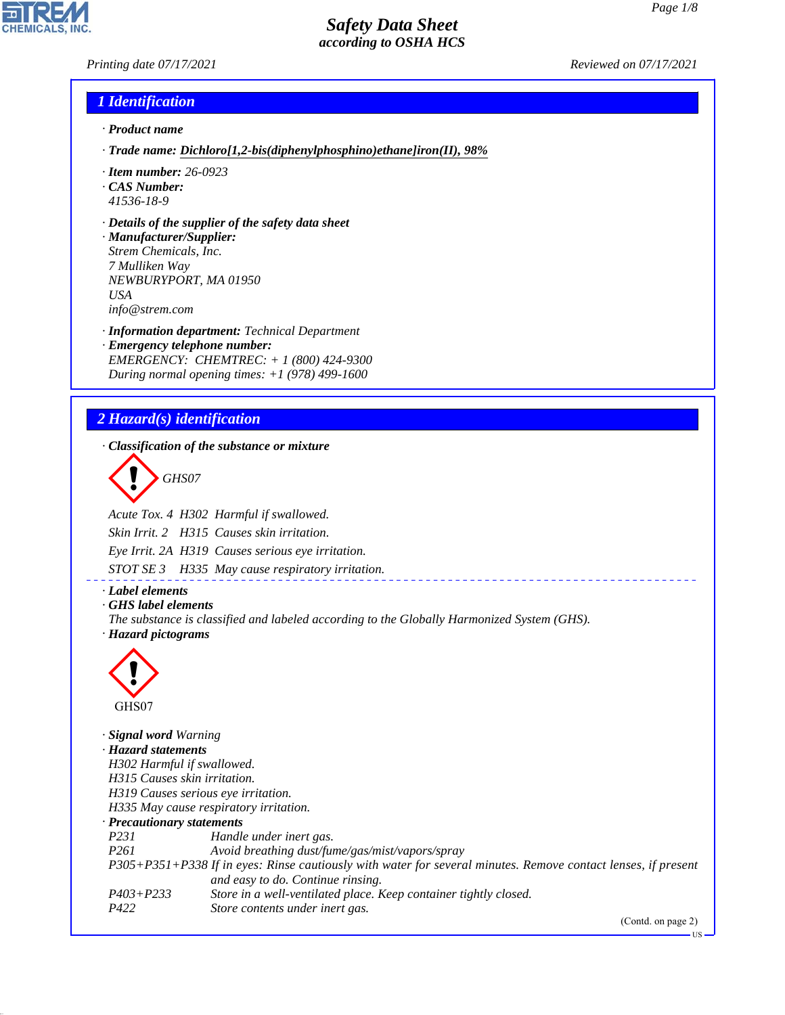*Printing date 07/17/2021 Reviewed on 07/17/2021*

#### *1 Identification*

- *· Product name*
- *· Trade name: Dichloro[1,2-bis(diphenylphosphino)ethane]iron(II), 98%*
- *· Item number: 26-0923*
- *· CAS Number:*
- *41536-18-9*
- *· Details of the supplier of the safety data sheet*
- *· Manufacturer/Supplier: Strem Chemicals, Inc. 7 Mulliken Way NEWBURYPORT, MA 01950 USA info@strem.com*
- *· Information department: Technical Department · Emergency telephone number: EMERGENCY: CHEMTREC: + 1 (800) 424-9300 During normal opening times: +1 (978) 499-1600*

# *2 Hazard(s) identification*

*· Classification of the substance or mixture*

d~*GHS07*

*Acute Tox. 4 H302 Harmful if swallowed.*

*Skin Irrit. 2 H315 Causes skin irritation.*

*Eye Irrit. 2A H319 Causes serious eye irritation.*

*STOT SE 3 H335 May cause respiratory irritation.*

#### *· Label elements*

*· GHS label elements*

*The substance is classified and labeled according to the Globally Harmonized System (GHS). · Hazard pictograms*



44.1.1

*· Signal word Warning · Hazard statements H302 Harmful if swallowed. H315 Causes skin irritation. H319 Causes serious eye irritation. H335 May cause respiratory irritation. · Precautionary statements P231 Handle under inert gas. P261 Avoid breathing dust/fume/gas/mist/vapors/spray P305+P351+P338 If in eyes: Rinse cautiously with water for several minutes. Remove contact lenses, if present and easy to do. Continue rinsing. P403+P233 Store in a well-ventilated place. Keep container tightly closed. P422 Store contents under inert gas.*

(Contd. on page 2)

US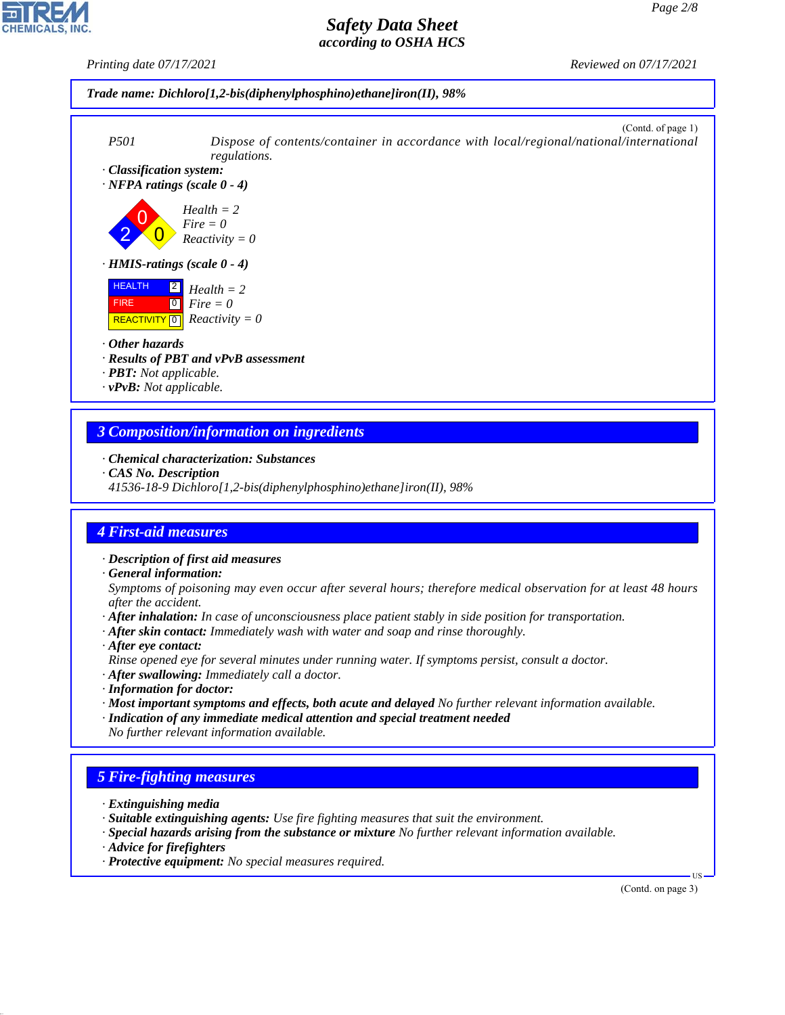*Printing date 07/17/2021 Reviewed on 07/17/2021*





#### *3 Composition/information on ingredients*

- *· Chemical characterization: Substances*
- *· CAS No. Description*
- *41536-18-9 Dichloro[1,2-bis(diphenylphosphino)ethane]iron(II), 98%*

#### *4 First-aid measures*

*· Description of first aid measures*

*· General information:*

*Symptoms of poisoning may even occur after several hours; therefore medical observation for at least 48 hours after the accident.*

- *· After inhalation: In case of unconsciousness place patient stably in side position for transportation.*
- *· After skin contact: Immediately wash with water and soap and rinse thoroughly.*
- *· After eye contact:*

*Rinse opened eye for several minutes under running water. If symptoms persist, consult a doctor.*

- *· After swallowing: Immediately call a doctor.*
- *· Information for doctor:*
- *· Most important symptoms and effects, both acute and delayed No further relevant information available.*
- *· Indication of any immediate medical attention and special treatment needed No further relevant information available.*

## *5 Fire-fighting measures*

- *· Extinguishing media*
- *· Suitable extinguishing agents: Use fire fighting measures that suit the environment.*
- *· Special hazards arising from the substance or mixture No further relevant information available.*
- *· Advice for firefighters*

44.1.1

*· Protective equipment: No special measures required.*

(Contd. on page 3)

US

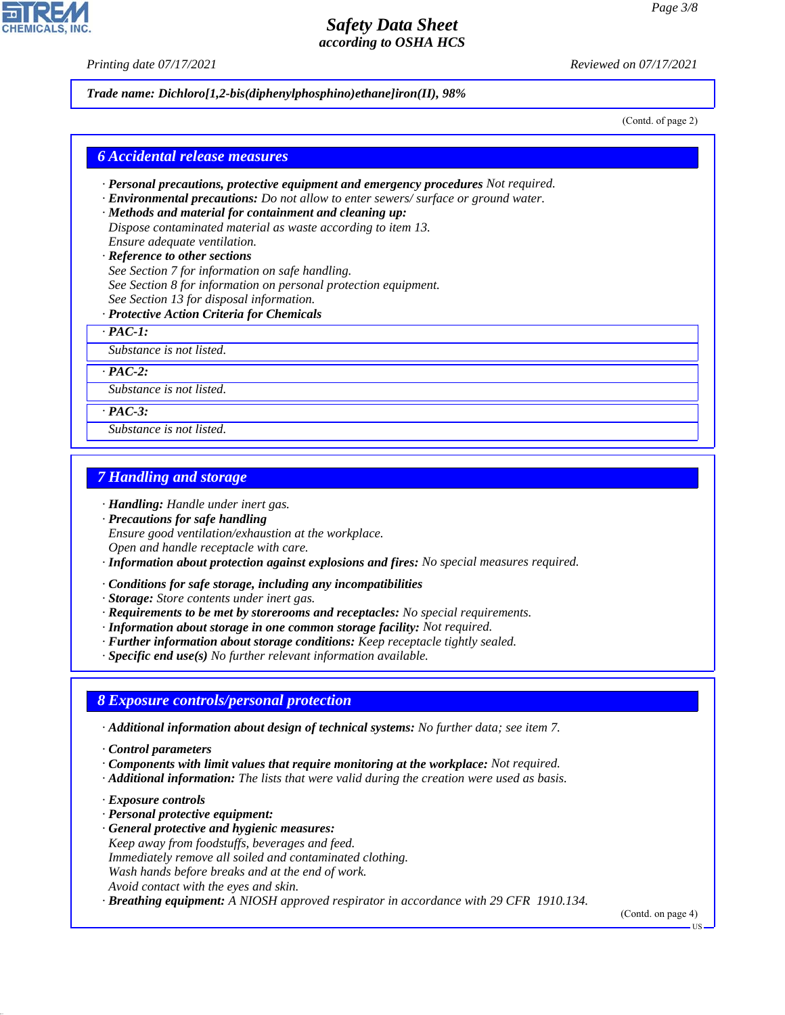*Printing date 07/17/2021 Reviewed on 07/17/2021*

*Trade name: Dichloro[1,2-bis(diphenylphosphino)ethane]iron(II), 98%*

(Contd. of page 2)

#### *6 Accidental release measures*

- *· Personal precautions, protective equipment and emergency procedures Not required.*
- *· Environmental precautions: Do not allow to enter sewers/ surface or ground water.*
- *· Methods and material for containment and cleaning up: Dispose contaminated material as waste according to item 13. Ensure adequate ventilation.*
- *· Reference to other sections See Section 7 for information on safe handling. See Section 8 for information on personal protection equipment. See Section 13 for disposal information.*
- *· Protective Action Criteria for Chemicals*

*· PAC-1:*

*Substance is not listed.*

*· PAC-2:*

*Substance is not listed.*

*· PAC-3:*

*Substance is not listed.*

#### *7 Handling and storage*

*· Handling: Handle under inert gas.*

*· Precautions for safe handling Ensure good ventilation/exhaustion at the workplace. Open and handle receptacle with care.*

- *· Information about protection against explosions and fires: No special measures required.*
- *· Conditions for safe storage, including any incompatibilities*

*· Storage: Store contents under inert gas.*

*· Requirements to be met by storerooms and receptacles: No special requirements.*

- *· Information about storage in one common storage facility: Not required.*
- *· Further information about storage conditions: Keep receptacle tightly sealed.*
- *· Specific end use(s) No further relevant information available.*

#### *8 Exposure controls/personal protection*

*· Additional information about design of technical systems: No further data; see item 7.*

*· Control parameters*

- *· Components with limit values that require monitoring at the workplace: Not required.*
- *· Additional information: The lists that were valid during the creation were used as basis.*
- *· Exposure controls*

44.1.1

- *· Personal protective equipment:*
- *· General protective and hygienic measures: Keep away from foodstuffs, beverages and feed. Immediately remove all soiled and contaminated clothing. Wash hands before breaks and at the end of work. Avoid contact with the eyes and skin.*

*· Breathing equipment: A NIOSH approved respirator in accordance with 29 CFR 1910.134.*

(Contd. on page 4)

US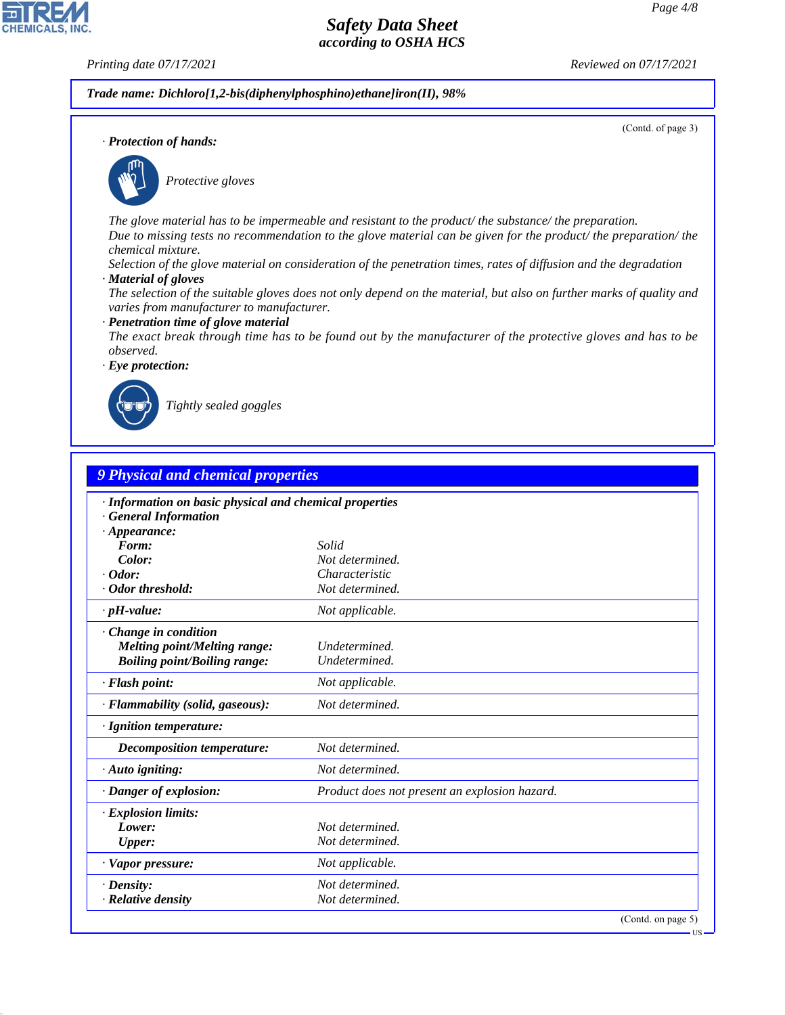(Contd. of page 3)

**IIS** 

# *Safety Data Sheet according to OSHA HCS*

**CHEMICALS, INC** 

*Printing date 07/17/2021 Reviewed on 07/17/2021*

*Trade name: Dichloro[1,2-bis(diphenylphosphino)ethane]iron(II), 98%*

*· Protection of hands:*



\_S*Protective gloves*

*The glove material has to be impermeable and resistant to the product/ the substance/ the preparation. Due to missing tests no recommendation to the glove material can be given for the product/ the preparation/ the chemical mixture.*

*Selection of the glove material on consideration of the penetration times, rates of diffusion and the degradation*

- *· Material of gloves*
- *The selection of the suitable gloves does not only depend on the material, but also on further marks of quality and varies from manufacturer to manufacturer.*
- *· Penetration time of glove material*
- *The exact break through time has to be found out by the manufacturer of the protective gloves and has to be observed.*

*· Eye protection:*



44.1.1

\_R*Tightly sealed goggles*

| 9 Physical and chemical properties                                                                  |                                                         |  |  |
|-----------------------------------------------------------------------------------------------------|---------------------------------------------------------|--|--|
| <b>General Information</b>                                                                          | · Information on basic physical and chemical properties |  |  |
| $\cdot$ Appearance:                                                                                 |                                                         |  |  |
| Form:<br>Color:                                                                                     | Solid<br>Not determined.                                |  |  |
| $\cdot$ Odor:                                                                                       | Characteristic                                          |  |  |
| · Odor threshold:                                                                                   | Not determined.                                         |  |  |
| $\cdot$ pH-value:                                                                                   | Not applicable.                                         |  |  |
| · Change in condition<br><b>Melting point/Melting range:</b><br><b>Boiling point/Boiling range:</b> | Undetermined.<br>Undetermined.                          |  |  |
| · Flash point:                                                                                      | Not applicable.                                         |  |  |
| · Flammability (solid, gaseous):                                                                    | Not determined.                                         |  |  |
| · Ignition temperature:                                                                             |                                                         |  |  |
| Decomposition temperature:                                                                          | Not determined.                                         |  |  |
| $\cdot$ Auto igniting:                                                                              | Not determined.                                         |  |  |
| · Danger of explosion:                                                                              | Product does not present an explosion hazard.           |  |  |
| $\cdot$ Explosion limits:                                                                           |                                                         |  |  |
| Lower:                                                                                              | Not determined.                                         |  |  |
| <b>Upper:</b>                                                                                       | Not determined.                                         |  |  |
| · Vapor pressure:                                                                                   | Not applicable.                                         |  |  |
| $\cdot$ Density:                                                                                    | Not determined.                                         |  |  |
| · Relative density                                                                                  | Not determined.                                         |  |  |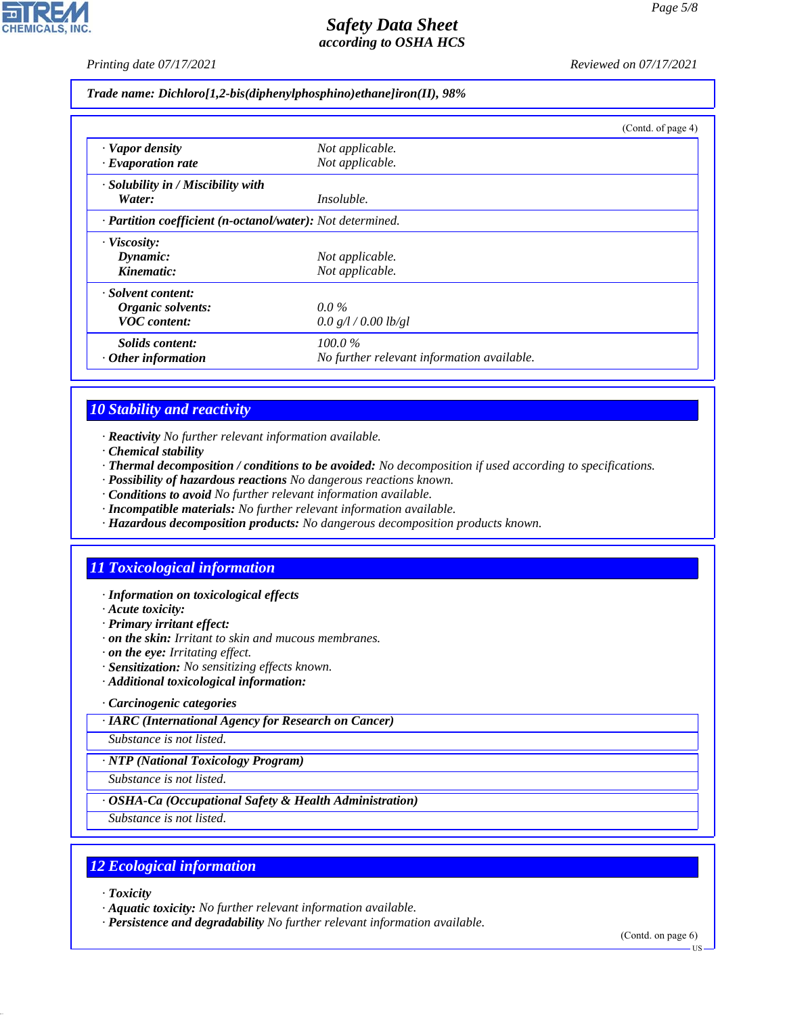*Printing date 07/17/2021 Reviewed on 07/17/2021*

*Trade name: Dichloro[1,2-bis(diphenylphosphino)ethane]iron(II), 98%*

|                                                            |                                            | (Contd. of page 4) |
|------------------------------------------------------------|--------------------------------------------|--------------------|
| · Vapor density                                            | Not applicable.                            |                    |
| $\cdot$ Evaporation rate                                   | Not applicable.                            |                    |
| $\cdot$ Solubility in / Miscibility with                   |                                            |                    |
| Water:                                                     | <i>Insoluble.</i>                          |                    |
| · Partition coefficient (n-octanol/water): Not determined. |                                            |                    |
| $\cdot$ Viscosity:                                         |                                            |                    |
| Dynamic:                                                   | Not applicable.                            |                    |
| Kinematic:                                                 | Not applicable.                            |                    |
| · Solvent content:                                         |                                            |                    |
| Organic solvents:                                          | $0.0\%$                                    |                    |
| <b>VOC</b> content:                                        | 0.0 g/l / 0.00 lb/gl                       |                    |
| Solids content:                                            | 100.0%                                     |                    |
| $\cdot$ Other information                                  | No further relevant information available. |                    |

## *10 Stability and reactivity*

- *· Reactivity No further relevant information available.*
- *· Chemical stability*
- *· Thermal decomposition / conditions to be avoided: No decomposition if used according to specifications.*
- *· Possibility of hazardous reactions No dangerous reactions known.*
- *· Conditions to avoid No further relevant information available.*
- *· Incompatible materials: No further relevant information available.*
- *· Hazardous decomposition products: No dangerous decomposition products known.*

## *11 Toxicological information*

- *· Information on toxicological effects*
- *· Acute toxicity:*
- *· Primary irritant effect:*
- *· on the skin: Irritant to skin and mucous membranes.*
- *· on the eye: Irritating effect.*
- *· Sensitization: No sensitizing effects known.*
- *· Additional toxicological information:*

#### *· Carcinogenic categories*

*· IARC (International Agency for Research on Cancer)*

*Substance is not listed.*

#### *· NTP (National Toxicology Program)*

*Substance is not listed.*

#### *· OSHA-Ca (Occupational Safety & Health Administration)*

*Substance is not listed.*

## *12 Ecological information*

*· Toxicity*

44.1.1

- *· Aquatic toxicity: No further relevant information available.*
- *· Persistence and degradability No further relevant information available.*

(Contd. on page 6) US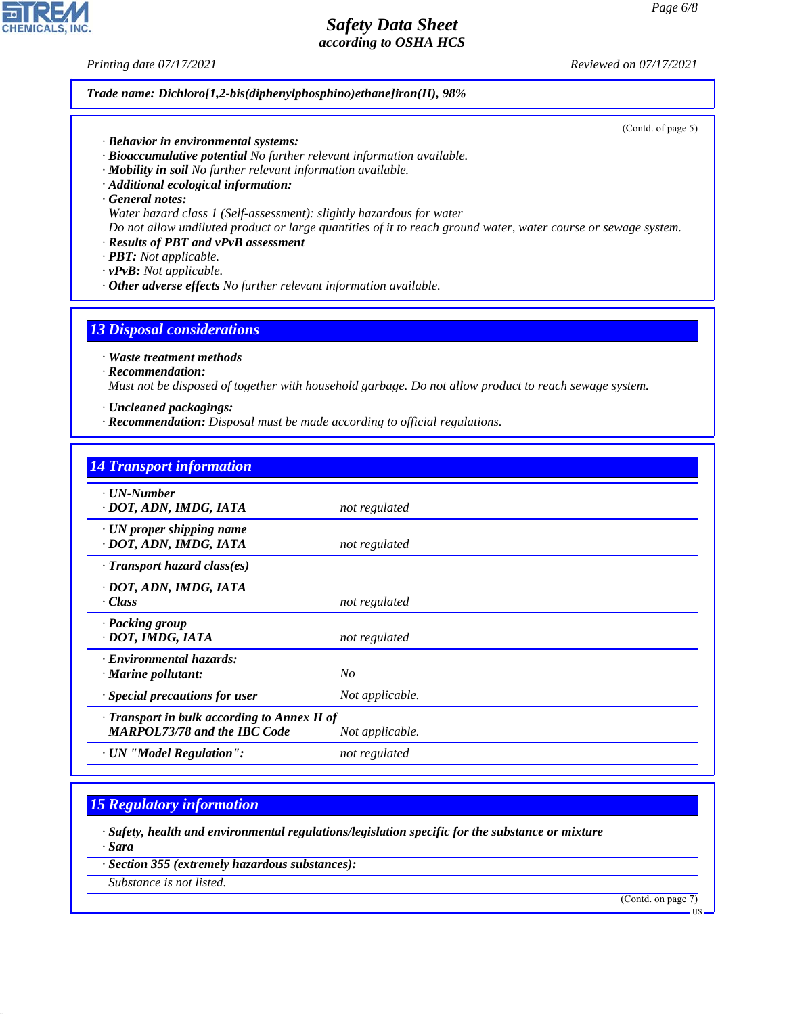*Printing date 07/17/2021 Reviewed on 07/17/2021*

*Trade name: Dichloro[1,2-bis(diphenylphosphino)ethane]iron(II), 98%*

(Contd. of page 5)

- *· Behavior in environmental systems:*
- *· Bioaccumulative potential No further relevant information available.*
- *· Mobility in soil No further relevant information available.*
- *· Additional ecological information:*

*· General notes:*

*Water hazard class 1 (Self-assessment): slightly hazardous for water*

*Do not allow undiluted product or large quantities of it to reach ground water, water course or sewage system.*

*· Results of PBT and vPvB assessment*

*· PBT: Not applicable.*

*· vPvB: Not applicable.*

*· Other adverse effects No further relevant information available.*

# *13 Disposal considerations*

*· Waste treatment methods*

*· Recommendation:*

*Must not be disposed of together with household garbage. Do not allow product to reach sewage system.*

- *· Uncleaned packagings:*
- *· Recommendation: Disposal must be made according to official regulations.*

| <b>14 Transport information</b>                                                     |                 |  |
|-------------------------------------------------------------------------------------|-----------------|--|
| $\cdot$ UN-Number<br>· DOT, ADN, IMDG, IATA                                         | not regulated   |  |
| $\cdot$ UN proper shipping name<br>· DOT, ADN, IMDG, IATA                           | not regulated   |  |
| $\cdot$ Transport hazard class(es)                                                  |                 |  |
| · DOT, ADN, IMDG, IATA<br>$\cdot Class$                                             | not regulated   |  |
| · Packing group<br>· DOT, IMDG, IATA                                                | not regulated   |  |
| · Environmental hazards:<br>$\cdot$ Marine pollutant:                               | No              |  |
| · Special precautions for user                                                      | Not applicable. |  |
| · Transport in bulk according to Annex II of<br><b>MARPOL73/78 and the IBC Code</b> | Not applicable. |  |
| · UN "Model Regulation":                                                            | not regulated   |  |

## *15 Regulatory information*

*· Safety, health and environmental regulations/legislation specific for the substance or mixture · Sara*

*· Section 355 (extremely hazardous substances):*

*Substance is not listed.*

44.1.1

(Contd. on page 7)



US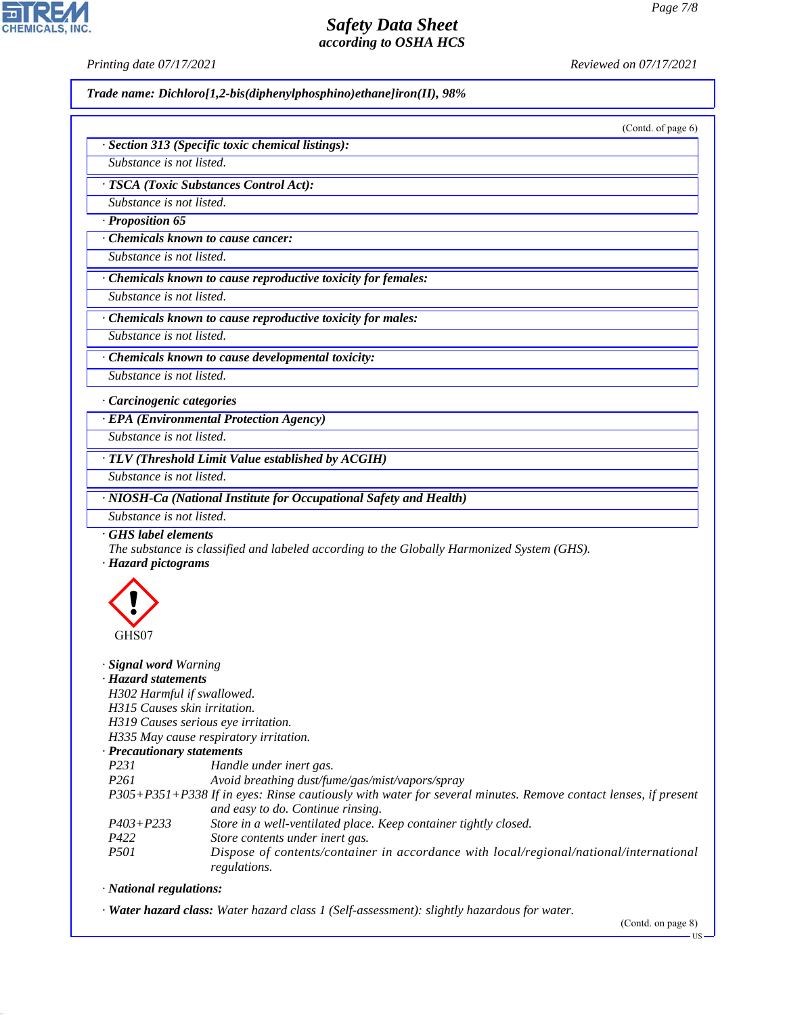**CHEMICALS** 

*Printing date 07/17/2021 Reviewed on 07/17/2021*

*Trade name: Dichloro[1,2-bis(diphenylphosphino)ethane]iron(II), 98%*

(Contd. of page 6)

|  |  | · Section 313 (Specific toxic chemical listings): |  |
|--|--|---------------------------------------------------|--|
|  |  |                                                   |  |

*Substance is not listed.*

*· TSCA (Toxic Substances Control Act):*

*Substance is not listed. · Proposition 65*

*· Chemicals known to cause cancer:*

*Substance is not listed.*

*· Chemicals known to cause reproductive toxicity for females:*

*Substance is not listed.*

*· Chemicals known to cause reproductive toxicity for males:*

*Substance is not listed.*

*· Chemicals known to cause developmental toxicity: Substance is not listed.*

*· Carcinogenic categories*

*· EPA (Environmental Protection Agency)*

*Substance is not listed.*

*· TLV (Threshold Limit Value established by ACGIH)*

*Substance is not listed.*

*· NIOSH-Ca (National Institute for Occupational Safety and Health)*

*Substance is not listed.*

*· GHS label elements*

*The substance is classified and labeled according to the Globally Harmonized System (GHS).*

*· Hazard pictograms*



*· Signal word Warning*

*· Hazard statements*

*H302 Harmful if swallowed.*

*H315 Causes skin irritation.*

*H319 Causes serious eye irritation.*

*H335 May cause respiratory irritation.*

#### *· Precautionary statements*

| <i>P231</i>      | Handle under inert gas.                                                                                       |
|------------------|---------------------------------------------------------------------------------------------------------------|
| P <sub>261</sub> | Avoid breathing dust/fume/gas/mist/vapors/spray                                                               |
|                  | P305+P351+P338 If in eyes: Rinse cautiously with water for several minutes. Remove contact lenses, if present |
|                  | and easy to do. Continue rinsing.                                                                             |
| $P403 + P233$    | Store in a well-ventilated place. Keep container tightly closed.                                              |
| P422             | Store contents under inert gas.                                                                               |
| <i>P501</i>      | Dispose of contents/container in accordance with local/regional/national/international                        |
|                  | regulations.                                                                                                  |

*· National regulations:*

44.1.1

*· Water hazard class: Water hazard class 1 (Self-assessment): slightly hazardous for water.*

(Contd. on page 8)

 $-11S$